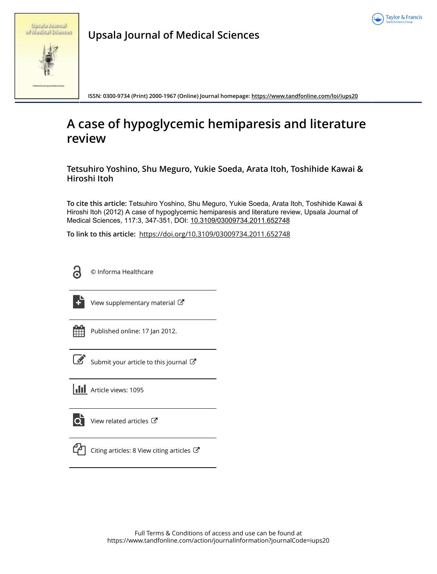

|  |  | Spring found        |  |
|--|--|---------------------|--|
|  |  | of Madical Sciences |  |

**Upsala Journal of Medical Sciences**

**ISSN: 0300-9734 (Print) 2000-1967 (Online) Journal homepage:<https://www.tandfonline.com/loi/iups20>**

# **A case of hypoglycemic hemiparesis and literature review**

**Tetsuhiro Yoshino, Shu Meguro, Yukie Soeda, Arata Itoh, Toshihide Kawai & Hiroshi Itoh**

**To cite this article:** Tetsuhiro Yoshino, Shu Meguro, Yukie Soeda, Arata Itoh, Toshihide Kawai & Hiroshi Itoh (2012) A case of hypoglycemic hemiparesis and literature review, Upsala Journal of Medical Sciences, 117:3, 347-351, DOI: [10.3109/03009734.2011.652748](https://www.tandfonline.com/action/showCitFormats?doi=10.3109/03009734.2011.652748)

**To link to this article:** <https://doi.org/10.3109/03009734.2011.652748>



© Informa Healthcare



[View supplementary material](https://www.tandfonline.com/doi/suppl/10.3109/03009734.2011.652748)  $\mathbb{Z}$ 

| - |  |  |  |  |  |  |  |  |
|---|--|--|--|--|--|--|--|--|
|   |  |  |  |  |  |  |  |  |
|   |  |  |  |  |  |  |  |  |
|   |  |  |  |  |  |  |  |  |

Published online: 17 Jan 2012.



 $\overrightarrow{S}$  [Submit your article to this journal](https://www.tandfonline.com/action/authorSubmission?journalCode=iups20&show=instructions)  $\overrightarrow{S}$ 

**Article views: 1095** 



 $\overrightarrow{Q}$  [View related articles](https://www.tandfonline.com/doi/mlt/10.3109/03009734.2011.652748)  $\overrightarrow{C}$ 



[Citing articles: 8 View citing articles](https://www.tandfonline.com/doi/citedby/10.3109/03009734.2011.652748#tabModule)  $\mathbb{Z}$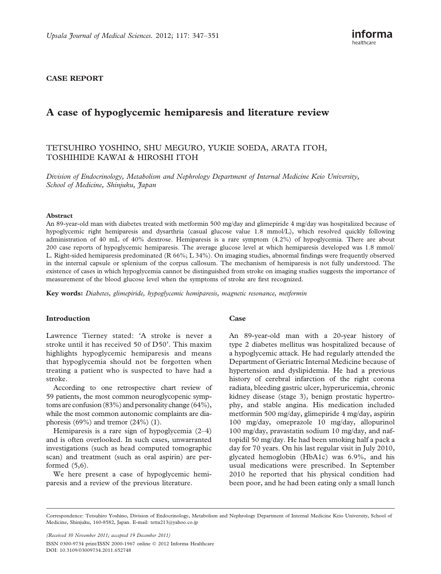### CASE REPORT

# A case of hypoglycemic hemiparesis and literature review

## TETSUHIRO YOSHINO, SHU MEGURO, YUKIE SOEDA, ARATA ITOH, TOSHIHIDE KAWAI & HIROSHI ITOH

Division of Endocrinology, Metabolism and Nephrology Department of Internal Medicine Keio University, School of Medicine, Shinjuku, Japan

#### Abstract

An 89-year-old man with diabetes treated with metformin 500 mg/day and glimepiride 4 mg/day was hospitalized because of hypoglycemic right hemiparesis and dysarthria (casual glucose value 1.8 mmol/L), which resolved quickly following administration of 40 mL of 40% dextrose. Hemiparesis is a rare symptom (4.2%) of hypoglycemia. There are about 200 case reports of hypoglycemic hemiparesis. The average glucose level at which hemiparesis developed was 1.8 mmol/ L. Right-sided hemiparesis predominated (R 66%; L 34%). On imaging studies, abnormal findings were frequently observed in the internal capsule or splenium of the corpus callosum. The mechanism of hemiparesis is not fully understood. The existence of cases in which hypoglycemia cannot be distinguished from stroke on imaging studies suggests the importance of measurement of the blood glucose level when the symptoms of stroke are first recognized.

Key words: Diabetes, glimepiride, hypoglycemic hemiparesis, magnetic resonance, metformin

#### Introduction

Lawrence Tierney stated: 'A stroke is never a stroke until it has received 50 of D50'. This maxim highlights hypoglycemic hemiparesis and means that hypoglycemia should not be forgotten when treating a patient who is suspected to have had a stroke.

According to one retrospective chart review of 59 patients, the most common neuroglycopenic symptoms are confusion (83%) and personality change (64%), while the most common autonomic complaints are diaphoresis  $(69\%)$  and tremor  $(24\%)$  (1).

Hemiparesis is a rare sign of hypoglycemia (2–4) and is often overlooked. In such cases, unwarranted investigations (such as head computed tomographic scan) and treatment (such as oral aspirin) are performed (5,6).

We here present a case of hypoglycemic hemiparesis and a review of the previous literature.

#### **Case**

An 89-year-old man with a 20-year history of type 2 diabetes mellitus was hospitalized because of a hypoglycemic attack. He had regularly attended the Department of Geriatric Internal Medicine because of hypertension and dyslipidemia. He had a previous history of cerebral infarction of the right corona radiata, bleeding gastric ulcer, hyperuricemia, chronic kidney disease (stage 3), benign prostatic hypertrophy, and stable angina. His medication included metformin 500 mg/day, glimepiride 4 mg/day, aspirin 100 mg/day, omeprazole 10 mg/day, allopurinol 100 mg/day, pravastatin sodium 10 mg/day, and naftopidil 50 mg/day. He had been smoking half a pack a day for 70 years. On his last regular visit in July 2010, glycated hemoglobin (HbA1c) was 6.9%, and his usual medications were prescribed. In September 2010 he reported that his physical condition had been poor, and he had been eating only a small lunch

(Received 30 November 2011; accepted 19 December 2011) ISSN 0300-9734 print/ISSN 2000-1967 online 2012 Informa Healthcare DOI: 10.3109/03009734.2011.652748

Correspondence: Tetsuhiro Yoshino, Division of Endocrinology, Metabolism and Nephrology Department of Internal Medicine Keio University, School of Medicine, Shinjuku, 160-8582, Japan. E-mail: tetta213@yahoo.co.jp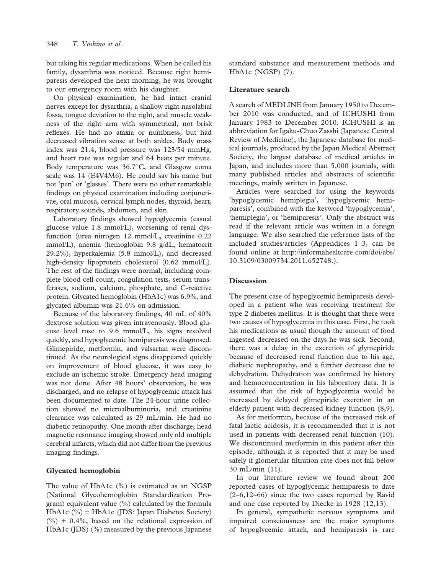but taking his regular medications. When he called his family, dysarthria was noticed. Because right hemiparesis developed the next morning, he was brought to our emergency room with his daughter.

On physical examination, he had intact cranial nerves except for dysarthria, a shallow right nasolabial fossa, tongue deviation to the right, and muscle weakness of the right arm with symmetrical, not brisk reflexes. He had no ataxia or numbness, but had decreased vibration sense at both ankles. Body mass index was 21.4, blood pressure was 123/54 mmHg, and heart rate was regular and 64 beats per minute. Body temperature was  $36.7^{\circ}$ C, and Glasgow coma scale was 14 (E4V4M6). He could say his name but not 'pen' or 'glasses'. There were no other remarkable findings on physical examination including conjunctivae, oral mucosa, cervical lymph nodes, thyroid, heart, respiratory sounds, abdomen, and skin.

Laboratory findings showed hypoglycemia (casual glucose value 1.8 mmol/L), worsening of renal dysfunction (urea nitrogen 12 mmol/L, creatinine 0.22 mmol/L), anemia (hemoglobin 9.8 g/dL, hematocrit 29.2%), hyperkalemia (5.8 mmol/L), and decreased high-density lipoprotein cholesterol  $(0.62 \text{ mmol/L})$ . The rest of the findings were normal, including complete blood cell count, coagulation tests, serum transferases, sodium, calcium, phosphate, and C-reactive protein. Glycated hemoglobin (HbA1c) was 6.9%, and glycated albumin was 21.6% on admission.

Because of the laboratory findings, 40 mL of 40% dextrose solution was given intravenously. Blood glucose level rose to 9.6 mmol/L, his signs resolved quickly, and hypoglycemic hemiparesis was diagnosed. Glimepiride, metformin, and valsartan were discontinued. As the neurological signs disappeared quickly on improvement of blood glucose, it was easy to exclude an ischemic stroke. Emergency head imaging was not done. After 48 hours' observation, he was discharged, and no relapse of hypoglycemic attack has been documented to date. The 24-hour urine collection showed no microalbuminuria, and creatinine clearance was calculated as 29 mL/min. He had no diabetic retinopathy. One month after discharge, head magnetic resonance imaging showed only old multiple cerebral infarcts, which did not differ from the previous imaging findings.

#### Glycated hemoglobin

The value of HbA1c (%) is estimated as an NGSP (National Glycohemoglobin Standardization Program) equivalent value (%) calculated by the formula HbA1c (%) = HbA1c (JDS: Japan Diabetes Society)  $(\%) + 0.4\%$ , based on the relational expression of HbA1c (JDS) (%) measured by the previous Japanese standard substance and measurement methods and HbA1c (NGSP) (7).

#### Literature search

A search of MEDLINE from January 1950 to December 2010 was conducted, and of ICHUSHI from January 1983 to December 2010. ICHUSHI is an abbreviation for Igaku-Chuo Zasshi (Japanese Central Review of Medicine), the Japanese database for medical journals, produced by the Japan Medical Abstract Society, the largest database of medical articles in Japan, and includes more than 5,000 journals, with many published articles and abstracts of scientific meetings, mainly written in Japanese.

Articles were searched for using the keywords 'hypoglycemic hemiplegia', 'hypoglycemic hemiparesis', combined with the keyword 'hypoglycemia', 'hemiplegia', or 'hemiparesis'. Only the abstract was read if the relevant article was written in a foreign language. We also searched the reference lists of the included studies/articles (Appendices 1–3, can be found online at http://informahealtcare.com/doi/abs/ 10.3109/03009734.2011.652748.).

#### **Discussion**

The present case of hypoglycemic hemiparesis developed in a patient who was receiving treatment for type 2 diabetes mellitus. It is thought that there were two causes of hypoglycemia in this case. First, he took his medications as usual though the amount of food ingested decreased on the days he was sick. Second, there was a delay in the excretion of glymepiride because of decreased renal function due to his age, diabetic nephropathy, and a further decrease due to dehydration. Dehydration was confirmed by history and hemoconcentration in his laboratory data. It is assumed that the risk of hypoglycemia would be increased by delayed glimepiride excretion in an elderly patient with decreased kidney function (8,9).

As for metformin, because of the increased risk of fatal lactic acidosis, it is recommended that it is not used in patients with decreased renal function (10). We discontinued metformin in this patient after this episode, although it is reported that it may be used safely if glomerular filtration rate does not fall below 30 mL/min (11).

In our literature review we found about 200 reported cases of hypoglycemic hemiparesis to date (2–6,12–66) since the two cases reported by Ravid and one case reported by Diecke in 1928 (12,13).

In general, sympathetic nervous symptoms and impaired consciousness are the major symptoms of hypoglycemic attack, and hemiparesis is rare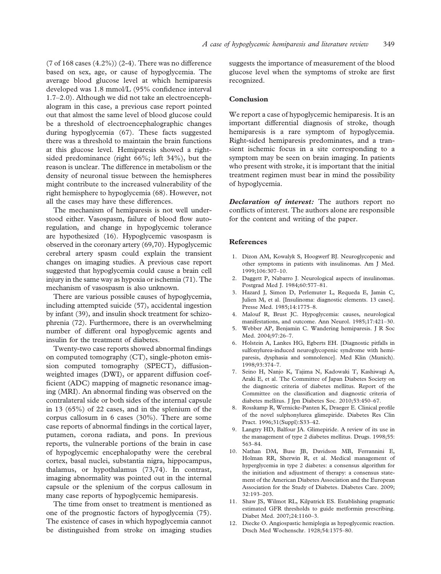(7 of 168 cases  $(4.2\%)$ ) (2-4). There was no difference based on sex, age, or cause of hypoglycemia. The average blood glucose level at which hemiparesis developed was 1.8 mmol/L (95% confidence interval 1.7–2.0). Although we did not take an electroencephalogram in this case, a previous case report pointed out that almost the same level of blood glucose could be a threshold of electroencephalographic changes during hypoglycemia (67). These facts suggested there was a threshold to maintain the brain functions at this glucose level. Hemiparesis showed a rightsided predominance (right 66%; left 34%), but the reason is unclear. The difference in metabolism or the density of neuronal tissue between the hemispheres might contribute to the increased vulnerability of the right hemisphere to hypoglycemia (68). However, not all the cases may have these differences.

The mechanism of hemiparesis is not well understood either. Vasospasm, failure of blood flow autoregulation, and change in hypoglycemic tolerance are hypothesized (16). Hypoglycemic vasospasm is observed in the coronary artery (69,70). Hypoglycemic cerebral artery spasm could explain the transient changes on imaging studies. A previous case report suggested that hypoglycemia could cause a brain cell injury in the same way as hypoxia or ischemia (71). The mechanism of vasospasm is also unknown.

There are various possible causes of hypoglycemia, including attempted suicide (57), accidental ingestion by infant (39), and insulin shock treatment for schizophrenia (72). Furthermore, there is an overwhelming number of different oral hypoglycemic agents and insulin for the treatment of diabetes.

Twenty-two case reports showed abnormal findings on computed tomography (CT), single-photon emission computed tomography (SPECT), diffusionweighted images (DWI), or apparent diffusion coefficient (ADC) mapping of magnetic resonance imaging (MRI). An abnormal finding was observed on the contralateral side or both sides of the internal capsule in 13 (65%) of 22 cases, and in the splenium of the corpus callosum in 6 cases (30%). There are some case reports of abnormal findings in the cortical layer, putamen, corona radiata, and pons. In previous reports, the vulnerable portions of the brain in case of hypoglycemic encephalopathy were the cerebral cortex, basal nuclei, substantia nigra, hippocampus, thalamus, or hypothalamus (73,74). In contrast, imaging abnormality was pointed out in the internal capsule or the splenium of the corpus callosum in many case reports of hypoglycemic hemiparesis.

The time from onset to treatment is mentioned as one of the prognostic factors of hypoglycemia (75). The existence of cases in which hypoglycemia cannot be distinguished from stroke on imaging studies suggests the importance of measurement of the blood glucose level when the symptoms of stroke are first recognized.

#### Conclusion

We report a case of hypoglycemic hemiparesis. It is an important differential diagnosis of stroke, though hemiparesis is a rare symptom of hypoglycemia. Right-sided hemiparesis predominates, and a transient ischemic focus in a site corresponding to a symptom may be seen on brain imaging. In patients who present with stroke, it is important that the initial treatment regimen must bear in mind the possibility of hypoglycemia.

Declaration of interest: The authors report no conflicts of interest. The authors alone are responsible for the content and writing of the paper.

#### References

- 1. Dizon AM, Kowalyk S, Hoogwerf BJ. Neuroglycopenic and other symptoms in patients with insulinomas. Am J Med. 1999;106:307–10.
- 2. Daggett P, Nabarro J. Neurological aspects of insulinomas. Postgrad Med J. 1984;60:577–81.
- 3. Hazard J, Simon D, Perlemuter L, Requeda E, Jamin C, Julien M, et al. [Insulinoma: diagnostic elements. 13 cases]. Presse Med. 1985;14:1775–8.
- 4. Malouf R, Brust JC. Hypoglycemia: causes, neurological manifestations, and outcome. Ann Neurol. 1985;17:421–30.
- 5. Webber AP, Benjamin C. Wandering hemiparesis. J R Soc Med. 2004;97:26–7.
- 6. Holstein A, Lankes HG, Egberts EH. [Diagnostic pitfalls in sulfonylurea-induced neuroglycopenic syndrome with hemiparesis, dysphasia and somnolence]. Med Klin (Munich). 1998;93:374–7.
- 7. Seino H, Nanjo K, Tajima N, Kadowaki T, Kashiwagi A, Araki E, et al. The Committee of Japan Diabetes Society on the diagnostic criteria of diabetes mellitus. Report of the Committee on the classification and diagnostic criteria of diabetes mellitus. J Jpn Diabetes Soc. 2010;53:450–67.
- 8. Rosskamp R, Wernicke-Panten K, Draeger E. Clinical profile of the novel sulphonylurea glimepiride. Diabetes Res Clin Pract. 1996;31(Suppl):S33–42.
- 9. Langtry HD, Balfour JA. Glimepiride. A review of its use in the management of type 2 diabetes mellitus. Drugs. 1998;55: 563–84.
- 10. Nathan DM, Buse JB, Davidson MB, Ferrannini E, Holman RR, Sherwin R, et al. Medical management of hyperglycemia in type 2 diabetes: a consensus algorithm for the initiation and adjustment of therapy: a consensus statement of the American Diabetes Association and the European Association for the Study of Diabetes. Diabetes Care. 2009; 32:193–203.
- 11. Shaw JS, Wilmot RL, Kilpatrick ES. Establishing pragmatic estimated GFR thresholds to guide metformin prescribing. Diabet Med. 2007;24:1160–3.
- 12. Diecke O. Angiospastic hemiplegia as hypoglycemic reaction. Dtsch Med Wochenschr. 1928;54:1375–80.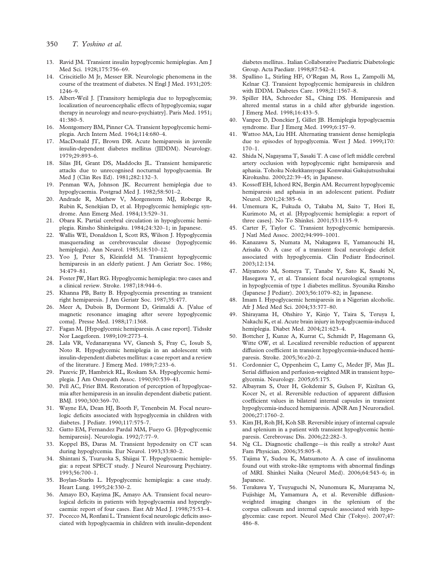- 350 T. Yoshino et al.
- 13. Ravid JM. Transient insulin hypoglycemic hemiplegias. Am J Med Sci. 1928;175:756–69.
- 14. Criscitiello M Jr, Messer ER. Neurologic phenomena in the course of the treatment of diabetes. N Engl J Med. 1931;205: 1246–9.
- 15. Albert-Weil J. [Transitory hemiplegia due to hypoglycemia; localization of neuroencephalic effects of hypoglycemia; sugar therapy in neurology and neuro-psychiatry]. Paris Med. 1951; 41:380–5.
- 16. Montgomery BM, Pinner CA. Transient hypoglycemic hemiplegia. Arch Intern Med. 1964;114:680–4.
- 17. MacDonald JT, Brown DR. Acute hemiparesis in juvenile insulin-dependent diabetes mellitus (JIDDM). Neurology. 1979;29:893–6.
- 18. Silas JH, Grant DS, Maddocks JL. Transient hemiparetic attacks due to unrecognised nocturnal hypoglycaemia. Br Med J (Clin Res Ed). 1981;282:132–3.
- 19. Penman WA, Johnson JK. Recurrent hemiplegia due to hypoglycaemia. Postgrad Med J. 1982;58:501–2.
- 20. Andrade R, Mathew V, Morgenstern MJ, Roberge R, Rubin K, Senekjian D, et al. Hypoglycemic hemiplegic syndrome. Ann Emerg Med. 1984;13:529–31.
- 21. Obara K. Partial cerebral circulation in hypoglycemic hemiplegia. Rinsho Shinkeigaku. 1984;24:320–1; in Japanese.
- 22. Wallis WE, Donaldson I, Scott RS, Wilson J. Hypoglycemia masquerading as cerebrovascular disease (hypoglycemic hemiplegia). Ann Neurol. 1985;18:510–12.
- 23. Yoo J, Peter S, Kleinfeld M. Transient hypoglycemic hemiparesis in an elderly patient. J Am Geriatr Soc. 1986; 34:479–81.
- 24. Foster JW, Hart RG. Hypoglycemic hemiplegia: two cases and a clinical review. Stroke. 1987;18:944–6.
- 25. Khanna PB, Batty B. Hypoglycemia presenting as transient right hemiparesis. J Am Geriatr Soc. 1987;35:477.
- 26. Meer A, Dubois B, Dormont D, Grimaldi A. [Value of magnetic resonance imaging after severe hypoglycemic coma]. Presse Med. 1988;17:1368.
- 27. Fagan M. [Hypoglycemic hemiparesis. A case report]. Tidsskr Nor Laegeforen. 1989;109:2773–4.
- 28. Lala VR, Vedanarayana VV, Ganesh S, Fray C, Iosub S, Noto R. Hypoglycemic hemiplegia in an adolescent with insulin-dependent diabetes mellitus: a case report and a review of the literature. J Emerg Med. 1989;7:233–6.
- 29. Pazevic JP, Hambrick RL, Roskam SA. Hypoglycemic hemiplegia. J Am Osteopath Assoc. 1990;90:539–41.
- 30. Pell AC, Frier BM. Restoration of perception of hypoglycaemia after hemiparesis in an insulin dependent diabetic patient. BMJ. 1990;300:369–70.
- 31. Wayne EA, Dean HJ, Booth F, Tenenbein M. Focal neurologic deficits associated with hypoglycemia in children with diabetes. J Pediatr. 1990;117:575–7.
- 32. Gatto EM, Fernandez Pardal MM, Fueyo G. [Hypoglycemic hemiparesis]. Neurologia. 1992;7:77–9.
- 33. Koppel BS, Daras M. Transient hypodensity on CT scan during hypoglycemia. Eur Neurol. 1993;33:80–2.
- 34. Shintani S, Tsuruoka S, Shiigai T. Hypoglycaemic hemiplegia: a repeat SPECT study. J Neurol Neurosurg Psychiatry. 1993;56:700–1.
- 35. Boylan-Starks L. Hypoglycemic hemiplegia: a case study. Heart Lung. 1995;24:330–2.
- 36. Amayo EO, Kayima JK, Amayo AA. Transient focal neurological deficits in patients with hypoglycaemia and hyperglycaemia: report of four cases. East Afr Med J. 1998;75:53–4.
- 37. Pocecco M, Ronfani L. Transient focal neurologic deficits associated with hypoglycaemia in children with insulin-dependent

diabetes mellitus.. Italian Collaborative Paediatric Diabetologic Group. Acta Paediatr. 1998;87:542–4.

- 38. Spallino L, Stirling HF, O'Regan M, Ross L, Zampolli M, Kelnar CJ. Transient hypoglycemic hemiparesis in children with IDDM. Diabetes Care. 1998;21:1567–8.
- 39. Spiller HA, Schroeder SL, Ching DS. Hemiparesis and altered mental status in a child after glyburide ingestion. J Emerg Med. 1998;16:433–5.
- 40. Vanpee D, Donckier J, Gillet JB. Hemiplegia hypoglycaemia syndrome. Eur J Emerg Med. 1999;6:157–9.
- 41. Wattoo MA, Liu HH. Alternating transient dense hemiplegia due to episodes of hypoglycemia. West J Med. 1999;170: 170–1.
- 42. Shida N, Nagayama T, Sasaki T. A case of left middle cerebral artery occlusion with hypoglycemic right hemiparesis and aphasia. Tohoku Nokekkansyogai Konwakai Gakujutsushukai Kirokushu. 2000;22:39–45; in Japanese.
- 43. Kossoff EH, Ichord RN, Bergin AM. Recurrent hypoglycemic hemiparesis and aphasia in an adolescent patient. Pediatr Neurol. 2001;24:385–6.
- 44. Umemura K, Fukuda O, Takaba M, Saito T, Hori E, Kurimoto M, et al. [Hypoglycemic hemiplegia: a report of three cases]. No To Shinkei. 2001;53:1135–9.
- 45. Carter F, Taylor C. Transient hypoglycemic hemiparesis. J Natl Med Assoc. 2002;94:999–1001.
- 46. Kanazawa S, Numata M, Nakagawa E, Yamanouchi H, Arisaka O. A case of a transient focal neurologic deficit associated with hypoglycemia. Clin Pediatr Endocrinol. 2003;12:134.
- 47. Miyamoto M, Someya T, Tanabe Y, Sato K, Sasaki N, Hasegawa Y, et al. Transient focal neurological symptoms in hypoglycemia of type 1 diabetes mellitus. Syounika Rinsho (Japanese J Pediatr). 2003;56:1079–82; in Japanese.
- 48. Imam I. Hypoglycaemic hemiparesis in a Nigerian alcoholic. Afr J Med Med Sci. 2004;33:377–80.
- 49. Shirayama H, Ohshiro Y, Kinjo Y, Taira S, Teruya I, Nakachi K, et al. Acute brain injury in hypoglycaemia-induced hemiplegia. Diabet Med. 2004;21:623–4.
- 50. Bottcher J, Kunze A, Kurrat C, Schmidt P, Hagemann G, Witte OW, et al. Localized reversible reduction of apparent diffusion coefficient in transient hypoglycemia-induced hemiparesis. Stroke. 2005;36:e20–2.
- 51. Cordonnier C, Oppenheim C, Lamy C, Meder JF, Mas JL. Serial diffusion and perfusion-weighted MR in transient hypoglycemia. Neurology. 2005;65:175.
- 52. Albayram S, Ozer H, Gokdemir S, Gulsen F, Kiziltan G, Kocer N, et al. Reversible reduction of apparent diffusion coefficient values in bilateral internal capsules in transient hypoglycemia-induced hemiparesis. AJNR Am J Neuroradiol. 2006;27:1760–2.
- 53. Kim JH, Roh JH, Koh SB. Reversible injury of internal capsule and splenium in a patient with transient hypoglycemic hemiparesis. Cerebrovasc Dis. 2006;22:282–3.
- 54. Ng CL. Diagnostic challenge—is this really a stroke? Aust Fam Physician. 2006;35:805–8.
- 55. Tajima Y, Sudou K, Matsumoto A. A case of insulinoma found out with stroke-like symptoms with abnormal findings of MRI. Shinkei Naika (Neurol Med). 2006;64:543–6; in Japanese.
- 56. Terakawa Y, Tsuyuguchi N, Nunomura K, Murayama N, Fujishige M, Yamamura A, et al. Reversible diffusionweighted imaging changes in the splenium of the corpus callosum and internal capsule associated with hypoglycemia: case report. Neurol Med Chir (Tokyo). 2007;47: 486–8.